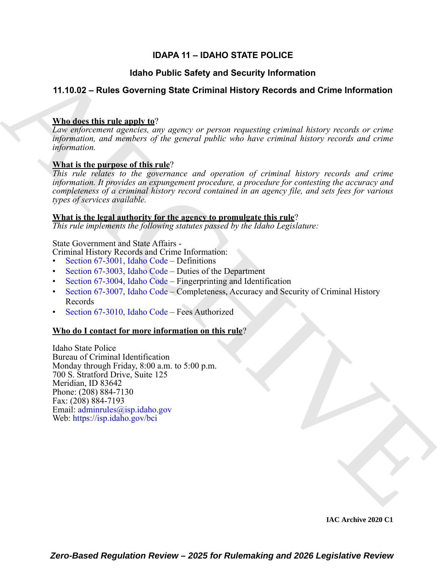## **IDAPA 11 – IDAHO STATE POLICE**

## **Idaho Public Safety and Security Information**

## **11.10.02 – Rules Governing State Criminal History Records and Crime Information**

## **Who does this rule apply to**?

*Law enforcement agencies, any agency or person requesting criminal history records or crime information, and members of the general public who have criminal history records and crime information.*

## **What is the purpose of this rule**?

*This rule relates to the governance and operation of criminal history records and crime information. It provides an expungement procedure, a procedure for contesting the accuracy and completeness of a criminal history record contained in an agency file, and sets fees for various types of services available.*

## **What is the legal authority for the agency to promulgate this rule**?

*This rule implements the following statutes passed by the Idaho Legislature:*

## State Government and State Affairs -

- Criminal History Records and Crime Information:
- Section 67-3001, Idaho Code Definitions
- Section 67-3003, Idaho Code Duties of the Department
- Section 67-3004, Idaho Code Fingerprinting and Identification
- Section 67-3007, Idaho Code Completeness, Accuracy and Security of Criminal History Records
- Section 67-3010, Idaho Code Fees Authorized

## **Who do I contact for more information on this rule**?

**14.10.02 – Rules Governing State [C](https://legislature.idaho.gov/statutesrules/idstat/Title67/T67CH30/SECT67-3004/)riminal History Records and Grime Information**<br> **The describering and tag**<br> **Contained and Crime Information**<br> *ARCHI[VE](mailto: adminrules@isp.idaho.gov) and Criminal History Records and Crime Information*<br> *ARCHIVE and* Idaho State Police Bureau of Criminal Identification Monday through Friday, 8:00 a.m. to 5:00 p.m. 700 S. Stratford Drive, Suite 125 Meridian, ID 83642 Phone: (208) 884-7130 Fax: (208) 884-7193 Email: adminrules@isp.idaho.gov Web: https://isp.idaho.gov/bci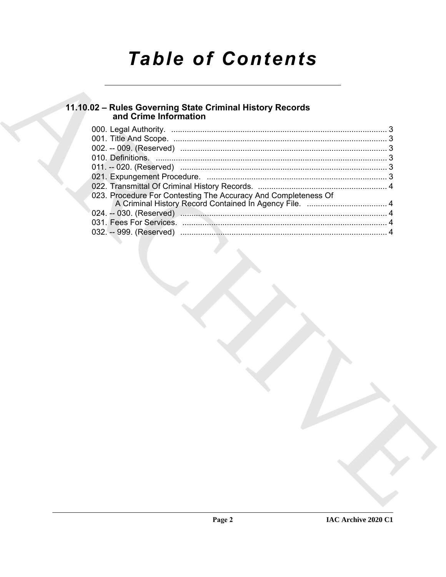# **Table of Contents**

## 11.10.02 - Rules Governing State Criminal History Records<br>and Crime Information

| 023. Procedure For Contesting The Accuracy And Completeness Of |  |
|----------------------------------------------------------------|--|
|                                                                |  |
|                                                                |  |
|                                                                |  |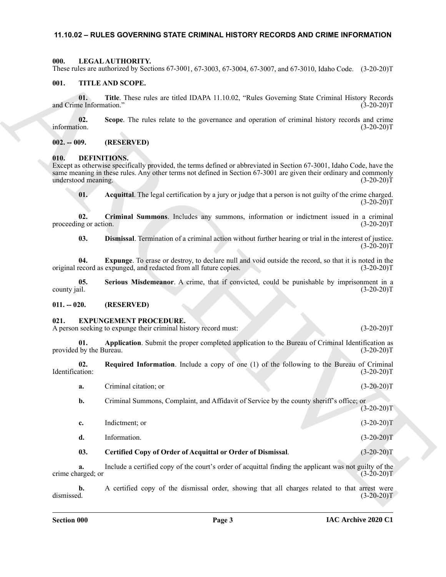#### <span id="page-2-0"></span>**11.10.02 – RULES GOVERNING STATE CRIMINAL HISTORY RECORDS AND CRIME INFORMATION**

#### <span id="page-2-17"></span><span id="page-2-1"></span>**000. LEGAL AUTHORITY.**

These rules are authorized by Sections 67-3001, 67-3003, 67-3004, 67-3007, and 67-3010, Idaho Code. (3-20-20)T

#### <span id="page-2-18"></span><span id="page-2-2"></span>**001. TITLE AND SCOPE.**

**01. Title**. These rules are titled IDAPA 11.10.02, "Rules Governing State Criminal History Records and Crime Information." (3-20-20)T

**02.** Scope. The rules relate to the governance and operation of criminal history records and crime information.  $(3-20-20)T$ information. (3-20-20)T

#### <span id="page-2-3"></span>**002. -- 009. (RESERVED)**

#### <span id="page-2-7"></span><span id="page-2-4"></span>**010. DEFINITIONS.**

Except as otherwise specifically provided, the terms defined or abbreviated in Section 67-3001, Idaho Code, have the same meaning in these rules. Any other terms not defined in Section 67-3001 are given their ordinary and commonly understood meaning. (3-20-20)T

<span id="page-2-9"></span><span id="page-2-8"></span>**01. Acquittal**. The legal certification by a jury or judge that a person is not guilty of the crime charged.  $(3-20-20)T$ 

**02. Criminal Summons**. Includes any summons, information or indictment issued in a criminal proceeding or action.

<span id="page-2-12"></span><span id="page-2-11"></span><span id="page-2-10"></span>**03. Dismissal**. Termination of a criminal action without further hearing or trial in the interest of justice.  $(3-20-20)T$ 

**04.** Expunge. To erase or destroy, to declare null and void outside the record, so that it is noted in the record as expunged, and redacted from all future copies. (3-20-20) original record as expunged, and redacted from all future copies.

**05.** Serious Misdemeanor. A crime, that if convicted, could be punishable by imprisonment in a county jail. (3-20-20) county jail. (3-20-20)T

#### <span id="page-2-5"></span>**011. -- 020. (RESERVED)**

#### <span id="page-2-13"></span><span id="page-2-6"></span>**021. EXPUNGEMENT PROCEDURE.**

A person seeking to expunge their criminal history record must: (3-20-20)T

<span id="page-2-14"></span>**01. Application**. Submit the proper completed application to the Bureau of Criminal Identification as by the Bureau. (3-20-20) provided by the Bureau.

**02.** Required Information. Include a copy of one (1) of the following to the Bureau of Criminal Identification: (3-20-20)T Identification: (3-20-20)T

<span id="page-2-16"></span>**a.** Criminal citation; or (3-20-20)T

**b.** Criminal Summons, Complaint, and Affidavit of Service by the county sheriff's office; or  $(3-20-20)T$ 

Thus, American bis Society, 67-300, 67-300, 67-300, 67-300, 67-300, 61-300, 61-300, 61-30, 61-30, 62-30, 64-30, 62-30, 64-30, 64-40, 64-40, 64-40, 64-40, 64-40, 64-40, 64-40, 64-40, 64-40, 64-40, 64-40, 64-40, 64-40, 64-4 **c.** Indictment; or (3-20-20)T **d.** Information. (3-20-20)T

## <span id="page-2-15"></span>**03. Certified Copy of Order of Acquittal or Order of Dismissal**. (3-20-20)T

**a.** Include a certified copy of the court's order of acquittal finding the applicant was not guilty of the crime charged; or (3-20-20)T

**b.** A certified copy of the dismissal order, showing that all charges related to that arrest were dismissed. (3-20-20)T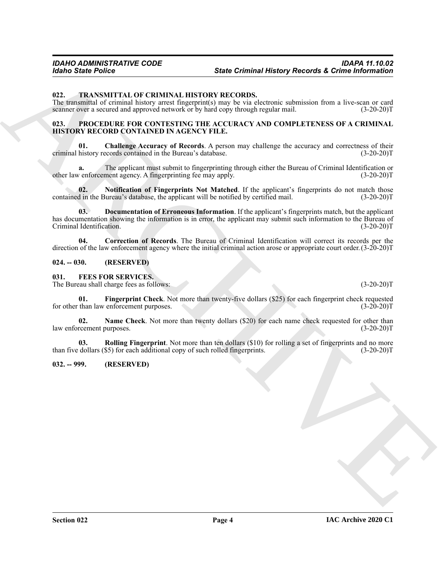#### <span id="page-3-14"></span><span id="page-3-0"></span>**022. TRANSMITTAL OF CRIMINAL HISTORY RECORDS.**

The transmittal of criminal history arrest fingerprint(s) may be via electronic submission from a live-scan or card scanner over a secured and approved network or by hard copy through regular mail. (3-20-20) scanner over a secured and approved network or by hard copy through regular mail.

#### <span id="page-3-9"></span><span id="page-3-1"></span>**023. PROCEDURE FOR CONTESTING THE ACCURACY AND COMPLETENESS OF A CRIMINAL HISTORY RECORD CONTAINED IN AGENCY FILE.**

<span id="page-3-10"></span>**01. Challenge Accuracy of Records**. A person may challenge the accuracy and correctness of their criminal history records contained in the Bureau's database. (3-20-20)T

**a.** The applicant must submit to fingerprinting through either the Bureau of Criminal Identification or  $\alpha$  enforcement agency. A fingerprinting fee may apply. (3-20-20) other law enforcement agency. A fingerprinting fee may apply.

<span id="page-3-13"></span><span id="page-3-12"></span>**02.** Notification of Fingerprints Not Matched. If the applicant's fingerprints do not match those d in the Bureau's database, the applicant will be notified by certified mail. (3-20-20) contained in the Bureau's database, the applicant will be notified by certified mail.

Since Poince<br>
Since Coincide History Records & Critics information<br>
13. The same first property of the CHIVEN MINNA INSTERSION RECORDS ASSESS the and the same of the same first property of the same of the same of the same **03. Documentation of Erroneous Information**. If the applicant's fingerprints match, but the applicant has documentation showing the information is in error, the applicant may submit such information to the Bureau of Criminal Identification. (3-20-20) Criminal Identification.

<span id="page-3-11"></span>**04. Correction of Records**. The Bureau of Criminal Identification will correct its records per the direction of the law enforcement agency where the initial criminal action arose or appropriate court order.(3-20-20)T

#### <span id="page-3-2"></span>**024. -- 030. (RESERVED)**

<span id="page-3-5"></span><span id="page-3-3"></span>**031. FEES FOR SERVICES.**

The Bureau shall charge fees as follows: (3-20-20)T

<span id="page-3-6"></span>**01.** Fingerprint Check. Not more than twenty-five dollars (\$25) for each fingerprint check requested than law enforcement purposes. (3-20-20) for other than law enforcement purposes.

<span id="page-3-7"></span>**02.** Name Check. Not more than twenty dollars (\$20) for each name check requested for other than law enforcement purposes. (3-20-20)T

<span id="page-3-8"></span>**03. Rolling Fingerprint**. Not more than ten dollars (\$10) for rolling a set of fingerprints and no more dollars (\$5) for each additional copy of such rolled fingerprints. (3-20-20) than five dollars (\$5) for each additional copy of such rolled fingerprints.

#### <span id="page-3-4"></span>**032. -- 999. (RESERVED)**